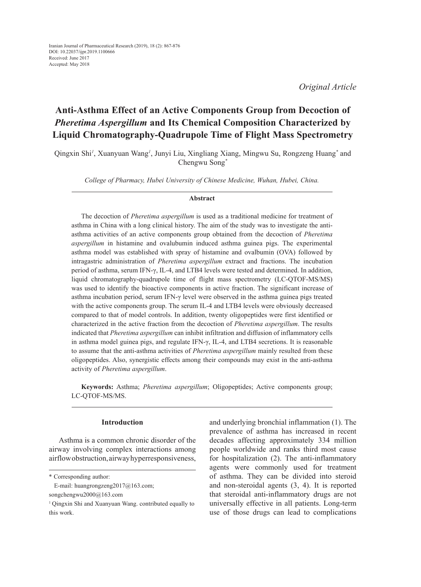*Original Article*

# **Anti-Asthma Effect of an Active Components Group from Decoction of**  *Pheretima Aspergillum* **and Its Chemical Composition Characterized by Liquid Chromatography-Quadrupole Time of Flight Mass Spectrometry**

Qingxin Shi<sup>*l*</sup>, Xuanyuan Wang<sup>*l*</sup>, Junyi Liu, Xingliang Xiang, Mingwu Su, Rongzeng Huang<sup>\*</sup> and Chengwu Song*\**

*College of Pharmacy, Hubei University of Chinese Medicine, Wuhan, Hubei, China.*

#### **Abstract**

The decoction of *Pheretima aspergillum* is used as a traditional medicine for treatment of asthma in China with a long clinical history. The aim of the study was to investigate the antiasthma activities of an active components group obtained from the decoction of *Pheretima aspergillum* in histamine and ovalubumin induced asthma guinea pigs. The experimental asthma model was established with spray of histamine and ovalbumin (OVA) followed by intragastric administration of *Pheretima aspergillum* extract and fractions. The incubation period of asthma, serum IFN-γ, IL-4, and LTB4 levels were tested and determined. In addition, liquid chromatography-quadrupole time of flight mass spectrometry (LC-QTOF-MS/MS) was used to identify the bioactive components in active fraction. The significant increase of asthma incubation period, serum IFN-γ level were observed in the asthma guinea pigs treated with the active components group. The serum IL-4 and LTB4 levels were obviously decreased compared to that of model controls. In addition, twenty oligopeptides were first identified or characterized in the active fraction from the decoction of *Pheretima aspergillum*. The results indicated that *Pheretima aspergillum* can inhibit infiltration and diffusion of inflammatory cells in asthma model guinea pigs, and regulate IFN- $\gamma$ , IL-4, and LTB4 secretions. It is reasonable to assume that the anti-asthma activities of *Pheretima aspergillum* mainly resulted from these oligopeptides. Also, synergistic effects among their compounds may exist in the anti-asthma activity of *Pheretima aspergillum*.

**Keywords:** Asthma; *Pheretima aspergillum*; Oligopeptides; Active components group; LC-QTOF-MS/MS.

## **Introduction**

Asthma is a common chronic disorder of the airway involving complex interactions among airflow obstruction, airway hyperresponsiveness,

\* Corresponding author:

 E-mail: huangrongzeng2017@163.com; songchengwu2000@163.com

and underlying bronchial inflammation (1). The prevalence of asthma has increased in recent decades affecting approximately 334 million people worldwide and ranks third most cause for hospitalization (2). The anti-inflammatory agents were commonly used for treatment of asthma. They can be divided into steroid and non-steroidal agents (3, 4). It is reported that steroidal anti-inflammatory drugs are not universally effective in all patients. Long-term use of those drugs can lead to complications

<sup>1</sup> Qingxin Shi and Xuanyuan Wang. contributed equally to this work.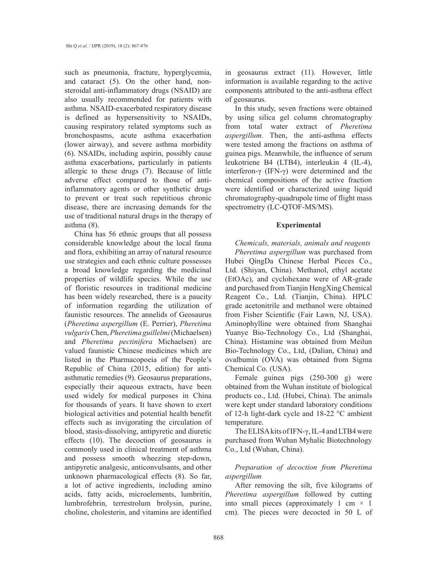such as pneumonia, fracture, hyperglycemia, and cataract (5). On the other hand, nonsteroidal anti-inflammatory drugs (NSAID) are also usually recommended for patients with asthma. NSAID-exacerbated respiratory disease is defined as hypersensitivity to NSAIDs, causing respiratory related symptoms such as bronchospasms, acute asthma exacerbation (lower airway), and severe asthma morbidity (6). NSAIDs, including aspirin, possibly cause asthma exacerbations, particularly in patients allergic to these drugs (7). Because of little adverse effect compared to those of antiinflammatory agents or other synthetic drugs to prevent or treat such repetitious chronic disease, there are increasing demands for the use of traditional natural drugs in the therapy of asthma (8).

China has 56 ethnic groups that all possess considerable knowledge about the local fauna and flora, exhibiting an array of natural resource use strategies and each ethnic culture possesses a broad knowledge regarding the medicinal properties of wildlife species. While the use of floristic resources in traditional medicine has been widely researched, there is a paucity of information regarding the utilization of faunistic resources. The annelids of Geosaurus (*Pheretima aspergillum* (E. Perrier), *Pheretima vulgaris* Chen, *Pheretima guillelmi* (Michaelsen) and *Pheretima pectinifera* Michaelsen) are valued faunistic Chinese medicines which are listed in the Pharmacopoeia of the People's Republic of China (2015, edition) for antiasthmatic remedies (9). Geosaurus preparations, especially their aqueous extracts, have been used widely for medical purposes in China for thousands of years. It have shown to exert biological activities and potential health benefit effects such as invigorating the circulation of blood, stasis-dissolving, antipyretic and diuretic effects (10). The decoction of geosaurus is commonly used in clinical treatment of asthma and possess smooth wheezing step-down, antipyretic analgesic, anticonvulsants, and other unknown pharmacological effects (8). So far, a lot of active ingredients, including amino acids, fatty acids, microelements, lumbritin, lumbrofebrin, terrestrolum brolysin, purine, choline, cholesterin, and vitamins are identified

in geosaurus extract (11). However, little information is available regarding to the active components attributed to the anti-asthma effect of geosaurus.

In this study, seven fractions were obtained by using silica gel column chromatography from total water extract of *Pheretima aspergillum*. Then, the anti-asthma effects were tested among the fractions on asthma of guinea pigs. Meanwhile, the influence of serum leukotriene B4 (LTB4), interleukin 4 (IL-4), interferon-γ (IFN-γ) were determined and the chemical compositions of the active fraction were identified or characterized using liquid chromatography-quadrupole time of flight mass spectrometry (LC-QTOF-MS/MS).

## **Experimental**

*Chemicals, materials, animals and reagents Pheretima aspergillum* was purchased from Hubei QingDa Chinese Herbal Pieces Co., Ltd. (Shiyan, China). Methanol, ethyl acetate (EtOAc), and cyclohexane were of AR-grade and purchased from Tianjin HengXing Chemical Reagent Co., Ltd. (Tianjin, China). HPLC grade acetonitrile and methanol were obtained from Fisher Scientific (Fair Lawn, NJ, USA). Aminophylline were obtained from Shanghai Yuanye Bio-Technology Co., Ltd (Shanghai, China). Histamine was obtained from Meilun Bio-Technology Co., Ltd, (Dalian, China) and ovalbumin (OVA) was obtained from Sigma Chemical Co. (USA).

Female guinea pigs (250-300 g) were obtained from the Wuhan institute of biological products co., Ltd. (Hubei, China). The animals were kept under standard laboratory conditions of 12-h light-dark cycle and 18-22 °C ambient temperature.

The ELISA kits of IFN-γ, IL-4 and LTB4 were purchased from Wuhan Myhalic Biotechnology Co., Ltd (Wuhan, China).

*Preparation of decoction from Pheretima aspergillum*

After removing the silt, five kilograms of *Pheretima aspergillum* followed by cutting into small pieces (approximately 1 cm  $\times$  1 cm). The pieces were decocted in 50 L of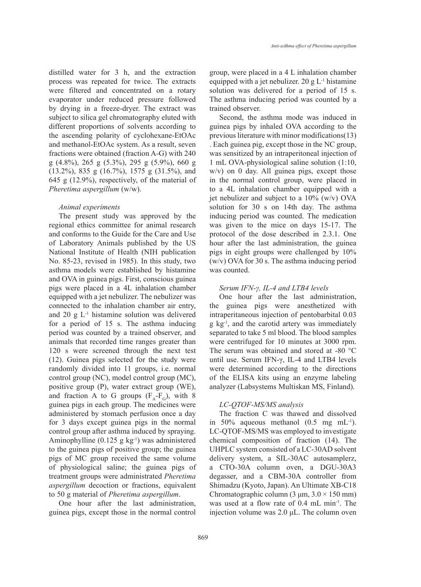distilled water for 3 h, and the extraction process was repeated for twice. The extracts were filtered and concentrated on a rotary evaporator under reduced pressure followed by drying in a freeze-dryer. The extract was subject to silica gel chromatography eluted with different proportions of solvents according to the ascending polarity of cyclohexane-EtOAc and methanol-EtOAc system. As a result, seven fractions were obtained (fraction A-G) with 240 g (4.8%), 265 g (5.3%), 295 g (5.9%), 660 g (13.2%), 835 g (16.7%), 1575 g (31.5%), and 645 g (12.9%), respectively, of the material of *Pheretima aspergillum* (w/w).

## *Animal experiments*

The present study was approved by the regional ethics committee for animal research and conforms to the Guide for the Care and Use of Laboratory Animals published by the US National Institute of Health (NIH publication No. 85-23, revised in 1985). In this study, two asthma models were established by histamine and OVA in guinea pigs. First, conscious guinea pigs were placed in a 4L inhalation chamber equipped with a jet nebulizer. The nebulizer was connected to the inhalation chamber air entry, and 20  $g L<sup>-1</sup>$  histamine solution was delivered for a period of 15 s. The asthma inducing period was counted by a trained observer, and animals that recorded time ranges greater than 120 s were screened through the next test (12). Guinea pigs selected for the study were randomly divided into 11 groups, i.e. normal control group (NC), model control group (MC), positive group (P), water extract group (WE), and fraction A to G groups  $(F_A-F_G)$ , with 8 guinea pigs in each group. The medicines were administered by stomach perfusion once a day for 3 days except guinea pigs in the normal control group after asthma induced by spraying. Aminophylline  $(0.125 \text{ g kg}^{-1})$  was administered to the guinea pigs of positive group; the guinea pigs of MC group received the same volume of physiological saline; the guinea pigs of treatment groups were administrated *Pheretima aspergillum* decoction or fractions, equivalent to 50 g material of *Pheretima aspergillum*.

One hour after the last administration, guinea pigs, except those in the normal control group, were placed in a 4 L inhalation chamber equipped with a jet nebulizer. 20 g  $L^{-1}$  histamine solution was delivered for a period of 15 s. The asthma inducing period was counted by a trained observer.

*Anti-asthma effect of Pheretima aspergillum*

Second, the asthma mode was induced in guinea pigs by inhaled OVA according to the previous literature with minor modifications(13) . Each guinea pig, except those in the NC group, was sensitized by an intraperitoneal injection of 1 mL OVA-physiological saline solution (1:10, w/v) on 0 day. All guinea pigs, except those in the normal control group, were placed in to a 4L inhalation chamber equipped with a jet nebulizer and subject to a 10% (w/v) OVA solution for 30 s on 14th day. The asthma inducing period was counted. The medication was given to the mice on days 15-17. The protocol of the dose described in 2.3.1. One hour after the last administration, the guinea pigs in eight groups were challenged by 10% (w/v) OVA for 30 s. The asthma inducing period was counted.

## *Serum IFN-γ, IL-4 and LTB4 levels*

One hour after the last administration, the guinea pigs were anesthetized with intraperitaneous injection of pentobarbital 0.03  $g \text{ kg}^{-1}$ , and the carotid artery was immediately separated to take 5 ml blood. The blood samples were centrifuged for 10 minutes at 3000 rpm. The serum was obtained and stored at -80 °C until use. Serum IFN-γ, IL-4 and LTB4 levels were determined according to the directions of the ELISA kits using an enzyme labeling analyzer (Labsystems Multiskan MS, Finland).

## *LC-QTOF-MS/MS analysis*

The fraction C was thawed and dissolved in 50% aqueous methanol  $(0.5 \text{ mg} \text{ mL}^{-1})$ . LC-QTOF-MS/MS was employed to investigate chemical composition of fraction (14). The UHPLC system consisted of a LC-30AD solvent delivery system, a SIL-30AC autosamplerz, a CTO-30A column oven, a DGU-30A3 degasser, and a CBM-30A controller from Shimadzu (Kyoto, Japan). An Ultimate XB-C18 Chromatographic column  $(3 \mu m, 3.0 \times 150 \text{ mm})$ was used at a flow rate of 0.4 mL min<sup>-1</sup>. The injection volume was 2.0 μL. The column oven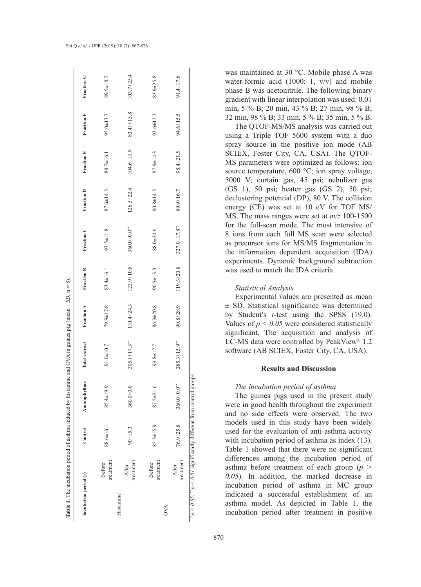|                       |                            |                 | <b>Table 1.</b> The incubation period of asthma induced by histamine and OVA in guinea pig (mean $\pm$ SD, $n = 8$ ). |                     |                  |                   |                     |                  |                  |            |                  |
|-----------------------|----------------------------|-----------------|-----------------------------------------------------------------------------------------------------------------------|---------------------|------------------|-------------------|---------------------|------------------|------------------|------------|------------------|
| Incubation period (s) |                            | Control         | Aminophylline                                                                                                         | Total extract       | Fraction A       | <b>Fraction B</b> | Fraction C          | Fraction D       | Fraction E       | Fraction F | Fraction G       |
|                       | treatment<br><b>Before</b> | 88.6±16.1       | 85.4±19.9                                                                                                             | 91.0±10.7           | 79.9±17.8        | 83.4±16.1         | 93.5±11.8           | 87.6±14.3        | 88.7±16.1        | 95.0±13.7  | 89.5±18.2        |
| Histamine             | treatment<br>After         | $90 + 15.3$     | 360.0±0.0                                                                                                             | $305.1 \pm 17.3$ ** | $110.4 \pm 24.3$ | $123.9 \pm 10.8$  | 360.000.0**         | $126.5 \pm 22.4$ | $104.6 \pm 13.9$ | 83.41±13.8 | $103.7 \pm 25.4$ |
| <b>OVA</b>            | treatment<br><b>Before</b> | $85.3 \pm 15.9$ | $87.5 \pm 21.6$                                                                                                       | 93.8±17.7           | 86.3±20.8        | $90.5 \pm 13.3$   | 88.0±24.6           | $90.8 \pm 14.5$  | 87.9±14.3        | 93.6±12.2  | 83.9±25.8        |
|                       | treatment<br>After         | $76.9 \pm 25.8$ | $360.0 \pm 0.0$ <sup>**</sup>                                                                                         | $285.3 \pm 15.9***$ | 90.8±28.9        | 119.3±20.8        | $327.0 \pm 17.8$ ** | 89.9±16.7        | 98.4±21.5        | 94.6±15.5  | 91.4±17.6        |
|                       |                            |                 | $p < 0.05$ , $p < 0.01$ significantly different from control groups.                                                  |                     |                  |                   |                     |                  |                  |            |                  |

was maintained at 30 °C. Mobile phase A was water-formic acid (1000: 1, v/v) and mobile phase B was acetonitrile. The following binary gradient with linear interpolation was used: 0.01 min, 5 % B; 20 min, 43 % B; 27 min, 98 % B; 32 min, 98 % B; 33 min, 5 % B; 35 min, 5 % B.

The QTOF-MS/MS analysis was carried out using a Triple TOF 5600 system with a duo spray source in the positive ion mode (AB SCIEX, Foster City, CA, USA). The QTOF-MS parameters were optimized as follows: ion source temperature, 600 °C; ion spray voltage, 5000 V; curtain gas, 45 psi; nebulizer gas (GS 1), 50 psi; heater gas (GS 2), 50 psi; declustering potential (DP), 80 V. The collision energy (CE) was set at 10 eV for TOF MS/ MS. The mass ranges were set at *m/z* 100-1500 for the full-scan mode. The most intensive of 8 ions from each full MS scan were selected as precursor ions for MS/MS fragmentation in the information dependent acquisition (IDA) experiments. Dynamic background subtraction was used to match the IDA criteria.

## *Statistical Analysis*

Experimental values are presented as mean ± SD. Statistical significance was determined by Student′s *t*-test using the SPSS (19.0). Values of  $p < 0.05$  were considered statistically significant. The acquisition and analysis of LC-MS data were controlled by PeakView ® 1.2 software (AB SCIEX, Foster City, CA, USA).

## **Results and Discussion**

## *The incubation period of asthma*

The guinea pigs used in the present study were in good health throughout the experiment and no side effects were observed. The two models used in this study have been widely used for the evaluation of anti-asthma activity with incubation period of asthma as index (13). Table 1 showed that there were no significant differences among the incubation period of asthma before treatment of each group (*p > 0.05*). In addition, the marked decrease in incubation period of asthma in MC group indicated a successful establishment of an asthma model. As depicted in Table 1, the incubation period after treatment in positive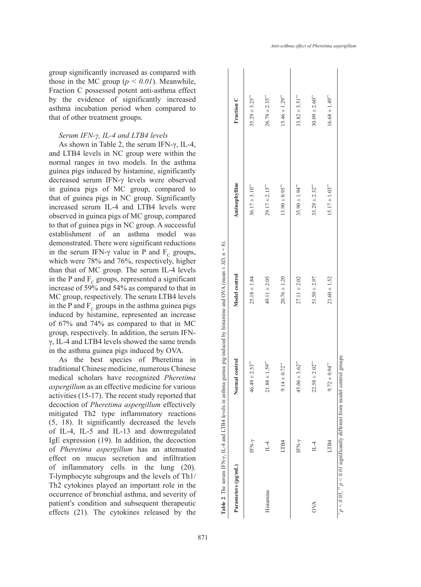group significantly increased as compared with those in the MC group  $(p < 0.01)$ . Meanwhile, Fraction C possessed potent anti-asthma effect by the evidence of significantly increased asthma incubation period when compared to that of other treatment groups.

## *Serum IFN-γ, IL-4 and LTB4 levels*

As shown in Table 2, the serum IFN-γ, IL-4, and LTB4 levels in NC group were within the normal ranges in two models. In the asthma guinea pigs induced by histamine, significantly decreased serum IFN-γ levels were observed in guinea pigs of MC group, compared to that of guinea pigs in NC group. Significantly increased serum IL-4 and LTB4 levels were observed in guinea pigs of MC group, compared to that of guinea pigs in NC group. A successful establishment of an asthma model was demonstrated. There were significant reductions in the serum IFN- $\gamma$  value in P and  $F_c$  groups, which were 78% and 76%, respectively, higher than that of MC group. The serum IL-4 levels in the P and  $F_c$  groups, represented a significant increase of 59% and 54% as compared to that in MC group, respectively. The serum LTB4 levels in the P and  $F_c$  groups in the asthma guinea pigs induced by histamine, represented an increase of 67% and 74% as compared to that in MC group, respectively. In addition, the serum IFNγ, IL-4 and LTB4 levels showed the same trends in the asthma guinea pigs induced by OVA.

As the best species of Pheretima in traditional Chinese medicine, numerous Chinese medical scholars have recognized *Pheretima aspergillum* as an effective medicine for various activities (15-17). The recent study reported that decoction of *Pheretima aspergillum* effectively mitigated Th2 type inflammatory reactions (5, 18). It significantly decreased the levels of IL-4, IL-5 and IL-13 and downregulated IgE expression (19). In addition, the decoction of *Pheretima aspergillum* has an attenuated effect on mucus secretion and infiltration of inflammatory cells in the lung (20). T-lymphocyte subgroups and the levels of Th1/ Th2 cytokines played an important role in the occurrence of bronchial asthma, and severity of patient′s condition and subsequent therapeutic effects (21). The cytokines released by the

 $15.46 \pm 1.29$ <sup>\*\*</sup> IFN- $\gamma$  46.49  $\pm$  2.53\*\* 25.18  $\pm$  1.8  $\pm$  1.84 36.17  $\pm$  3.10\*\* 36.17  $\pm$  3.10\*\*  $26.79 \pm 2.35$ \*\*  $\text{II} -4$  21.88  $\pm$  1.59\*\* 49.11  $\pm$  2.155\*\* 29.17  $\pm$  2.15\*\* LTB4  $9.14 \pm 0.72**$   $20.76 \pm 1.20$   $20.76 \pm 1.20$   $20.39 \pm 0.95**$  13.90  $\pm 0.70$   $\pm 1.29**$ IFN- $\gamma$  45.06  $\pm$  3.68  $\pm$  3.52  $^{**}$  35.90  $\pm$  1.04  $^{**}$  35.90  $\pm$  1.94  $^{**}$  35.82  $\pm$  3.51  $^{**}$  $30.09 \pm 2.60$ <sup>\*</sup>  $\text{II} -4$   $22.58 \pm 2.02^{**}$   $51.50 \pm 2.97$   $51.50^*$   $33.29 \pm 2.32^{**}$ LTB4 9.72  $\pm$  0.94\*\* 21.49\*\* 21.60  $\pm$  1.52 1.50  $\pm$  1.52 1.51.7  $\pm$  1.03\*\* 1.49\*\*  $16.68 \pm 1.49$ <sup>\*</sup> Fraction C  $35.29 \pm 3.25$ **Parameters (pg/mL) Normal control Model control Aminophylline Fraction C**  $33.82 \pm 3.51$ kminophylline  $29.17 \pm 2.15$ <sup>\*\*</sup>  $13.90 \pm 0.95$ <sup>\*\*</sup>  $33.29 \pm 2.32$ <sup>\*\*</sup>  $15.17 \pm 1.03$  $86.17 \pm 3.10^*$  $35.90 \pm 1.94^{\circ}$ **Table 2.** The serum IFN- $\gamma$ , IL-4 and LTB4 levels in asthma guinea pig induced by histamine and OVA (mean  $\pm$  SD, n = 8) **Table 2**. The serum IFN-γ, IL-4 and LTB4 levels in asthma guinea pig induced by histamine and OVA (mean ± *SD*, n = 8). Model control  $49.11 \pm 2.05$  $20.76 \pm 1.20$  $27.11 \pm 2.02$  $51.50 \pm 2.97$  $25.18 \pm 1.84$  $21.60 \pm 1.52$ Normal control  $22.58 \pm 2.02$ <sup>\*\*</sup>  $46.49 \pm 2.53$  $21.88 \pm 1.59$ <sup>\*</sup>  $9.72 \pm 0.94$ \*\*  $9.14 \pm 0.72$ \*\*  $45.06 \pm 3.62^{\circ}$ LTB4 IFN-y LTB4 FN-y  $\mathbb{L} \mathbb{-} 4$  $L<sub>-4</sub>$ Parameters (pg/mL) Histamine Histamine OVA

 $* p < 0.05$ ,  $* p < 0.01$  significantly different from model control groups.

" $p < 0.05$ , "  $p < 0.01$  significantly different from model control groups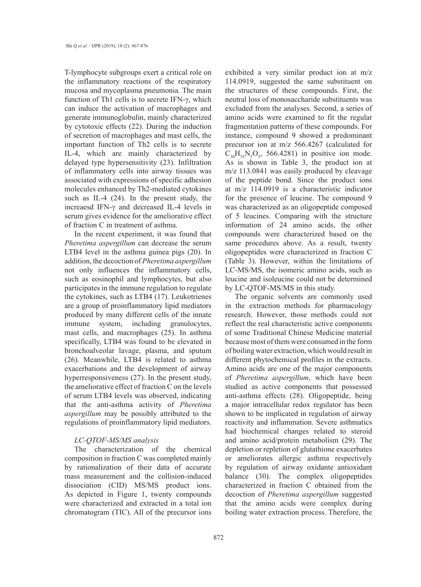T-lymphocyte subgroups exert a critical role on the inflammatory reactions of the respiratory mucosa and mycoplasma pneumonia. The main function of Th1 cells is to secrete IFN-γ, which can induce the activation of macrophages and generate immunoglobulin, mainly characterized by cytotoxic effects (22). During the induction of secretion of macrophages and mast cells, the important function of Th2 cells is to secrete IL-4, which are mainly characterized by delayed type hypersensitivity (23). Infiltration of inflammatory cells into airway tissues was associated with expressions of specific adhesion molecules enhanced by Th2-mediated cytokines such as IL-4 (24). In the present study, the increaesd IFN-γ and decreased IL-4 levels in serum gives evidence for the ameliorative effect of fraction C in treatment of asthma.

In the recent experiment, it was found that *Pheretima aspergillum* can decrease the serum LTB4 level in the asthma guinea pigs (20). In addition, the decoction of *Pheretima aspergillum* not only influences the inflammatory cells, such as eosinophil and lymphocytes, but also participates in the immune regulation to regulate the cytokines, such as LTB4 (17). Leukotrienes are a group of proinflammatory lipid mediators produced by many different cells of the innate immune system, including granulocytes, mast cells, and macrophages (25). In asthma specifically, LTB4 was found to be elevated in bronchoalveolar lavage, plasma, and sputum (26). Meanwhile, LTB4 is related to asthma exacerbations and the development of airway hyperresponsiveness (27). In the present study, the ameliorative effect of fraction C on the levels of serum LTB4 levels was observed, indicating that the anti-asthma activity of *Pheretima aspergillum* may be possibly attributed to the regulations of proinflammatory lipid mediators.

## *LC-QTOF-MS/MS analysis*

The characterization of the chemical composition in fraction C was completed mainly by rationalization of their data of accurate mass measurement and the collision-induced dissociation (CID) MS/MS product ions. As depicted in Figure 1, twenty compounds were characterized and extracted in a total ion chromatogram (TIC). All of the precursor ions

exhibited a very similar product ion at m/z 114.0919, suggested the same substituent on the structures of these compounds. First, the neutral loss of monosaccharide substituents was excluded from the analyses. Second, a series of amino acids were examined to fit the regular fragmentation patterns of these compounds. For instance, compound 9 showed a predominant precursor ion at m/z 566.4267 (calculated for  $C_{30}H_{55}N_5O_5$ , 566.4281) in positive ion mode. As is shown in Table 3, the product ion at m/z 113.0841 was easily produced by cleavage of the peptide bond. Since the product ions at m/z 114.0919 is a characteristic indicator for the presence of leucine. The compound 9 was characterized as an oligopeptide composed of 5 leucines. Comparing with the structure information of 24 amino acids, the other compounds were characterized based on the same procedures above. As a result, twenty oligopeptides were characterized in fraction C (Table 3). However, within the limitations of LC-MS/MS, the isomeric amino acids, such as leucine and isoleucine could not be determined by LC-QTOF-MS/MS in this study.

The organic solvents are commonly used in the extraction methods for pharmacology research. However, those methods could not reflect the real characteristic active components of some Traditional Chinese Medicine material because most of them were consumed in the form of boiling water extraction, which would result in different phytochemical profiles in the extracts. Amino acids are one of the major components of *Pheretima aspergillum*, which have been studied as active components that possessed anti-asthma effects (28). Oligopeptide, being a major intracellular redox regulator has been shown to be implicated in regulation of airway reactivity and inflammation. Severe asthmatics had biochemical changes related to steroid and amino acid/protein metabolism (29). The depletion or repletion of glutathione exacerbates or ameliorates allergic asthma respectively by regulation of airway oxidante antioxidant balance (30). The complex oligopeptides characterized in fraction C obtained from the decoction of *Pheretima aspergillum* suggested that the amino acids were complex during boiling water extraction process. Therefore, the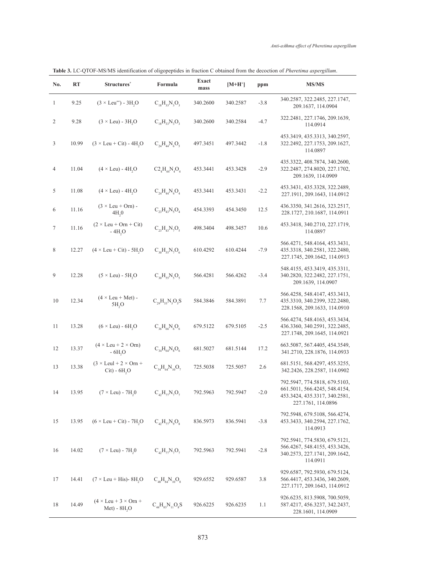| Table 3. LC-QTOF-MS/MS identification of oligopeptides in fraction C obtained from the decoction of <i>Pheretima aspergillum</i> . |  |
|------------------------------------------------------------------------------------------------------------------------------------|--|
|------------------------------------------------------------------------------------------------------------------------------------|--|

| No.              | <b>RT</b> | Structures <sup>*</sup>                                          | Formula                  | <b>Exact</b><br>mass | $[M+H^+]$ | ppm    | <b>MS/MS</b>                                                                                                          |
|------------------|-----------|------------------------------------------------------------------|--------------------------|----------------------|-----------|--------|-----------------------------------------------------------------------------------------------------------------------|
| $\mathbf{1}$     | 9.25      | $(3 \times \text{Leu}^{**}) - 3H, O$                             | $C_{18}H_{33}N_{3}O_{3}$ | 340.2600             | 340.2587  | $-3.8$ | 340.2587, 322.2485, 227.1747,<br>209.1637, 114.0904                                                                   |
| $\overline{2}$   | 9.28      | $(3 \times \text{Leu}) - 3H, O$                                  | $C_{18}H_{33}N_{3}O_{3}$ | 340.2600             | 340.2584  | $-4.7$ | 322.2481, 227.1746, 209.1639,<br>114.0914                                                                             |
| 3                | 10.99     | $(3 \times \text{Leu} + \text{Cit}) - 4H2O$                      | $C_{24}H_{44}N_6O_5$     | 497.3451             | 497.3442  | $-1.8$ | 453.3419, 435.3313, 340.2597,<br>322.2492, 227.1753, 209.1627,<br>114.0897                                            |
| $\overline{4}$   | 11.04     | $(4 \times \text{Leu}) - 4H2O$                                   | $C2_AH_AN_AO_A$          | 453.3441             | 453.3428  | $-2.9$ | 435.3322, 408.7874, 340.2600,<br>322.2487, 274.8020, 227.1702,<br>209.1639, 114.0909                                  |
| 5                | 11.08     | $(4 \times \text{Leu}) - 4H, O$                                  | $C_{24}H_{44}N_4O_4$     | 453.3441             | 453.3431  | $-2.2$ | 453.3431, 435.3328, 322.2489,<br>227.1911, 209.1643, 114.0912                                                         |
| 6                | 11.16     | $(3 \times \text{Leu} + \text{Orn})$ -<br>4H <sub>2</sub> 0      | $C_{23}H_{43}N_5O_4$     | 454.3393             | 454.3450  | 12.5   | 436.3350, 341.2616, 323.2517,<br>228.1727, 210.1687, 114.0911                                                         |
| $\boldsymbol{7}$ | 11.16     | $(2 \times \text{Leu} + \text{Orn} + \text{Cit})$<br>$-4H2O$     | $C_{23}H_{43}N_7O_5$     | 498.3404             | 498.3457  | 10.6   | 453.3418, 340.2710, 227.1719,<br>114.0897                                                                             |
| 8                | 12.27     | $(4 \times \text{Leu} + \text{Cit}) - 5H_{2}O$                   | $C_{30}H_{55}N_7O_6$     | 610.4292             | 610.4244  | $-7.9$ | 566.4271, 548.4164, 453.3431,<br>435.3318, 340.2581, 322.2480,<br>227.1745, 209.1642, 114.0913                        |
| 9                | 12.28     | $(5 \times \text{Leu}) - 5\text{H}2$                             | $C_{30}H_{55}N_5O_5$     | 566.4281             | 566.4262  | $-3.4$ | 548.4155, 453.3419, 435.3311,<br>340.2820, 322.2482, 227.1751,<br>209.1639, 114.0907                                  |
| 10               | 12.34     | $(4 \times \text{Leu} + \text{Met})$ -<br>5H <sub>2</sub> O      | $C_{29}H_{53}N_5O_5S$    | 584.3846             | 584.3891  | 7.7    | 566.4258, 548.4147, 453.3413,<br>435.3310, 340.2399, 322.2480,<br>228.1568, 209.1633, 114.0910                        |
| 11               | 13.28     | $(6 \times \text{Leu}) - 6\text{H}2$ O                           | $C_{36}H_{66}N_6O_6$     | 679.5122             | 679.5105  | $-2.5$ | 566.4274, 548.4163, 453.3434,<br>436.3360, 340.2591, 322.2485,<br>227.1748, 209.1645, 114.0921                        |
| 12               | 13.37     | $(4 \times \text{Leu} + 2 \times \text{Orn})$<br>$-6H2O$         | $C_{34}H_{64}N_8O_6$     | 681.5027             | 681.5144  | 17.2   | 663.5087, 567.4405, 454.3549,<br>341.2710, 228.1876, 114.0933                                                         |
| 13               | 13.38     | $(3 \times \text{Leul} + 2 \times \text{Orn} +$<br>$Cit) - 6H2O$ | $C_{34}H_{64}N_{10}O_7$  | 725.5038             | 725.5057  | 2.6    | 681.5151, 568.4297, 455.3255,<br>342.2426, 228.2587, 114.0902                                                         |
| 14               | 13.95     | $(7 \times \text{Leu}) - 7H_{2}0$                                | $C_{42}H_{77}N_{7}O_{7}$ | 792.5963             | 792.5947  | $-2.0$ | 792.5947, 774.5818, 679.5103,<br>661.5011, 566.4245, 548.4154,<br>453.3424, 435.3317, 340.2581,<br>227.1761, 114.0896 |
| 15               | 13.95     | $(6 \times \text{Leu} + \text{Cit}) - 7H_{2}O$                   | $C_{42}H_{77}N_{9}O_{8}$ | 836.5973             | 836.5941  | $-3.8$ | 792.5948, 679.5108, 566.4274,<br>453.3433, 340.2594, 227.1762,<br>114.0913                                            |
| 16               | 14.02     | $(7 \times \text{Leu}) - 7H,0$                                   | $C_{42}H_{77}N_{7}O_{7}$ | 792.5963             | 792.5941  | $-2.8$ | 792.5941, 774.5830, 679.5121,<br>566.4267, 548.4155, 453.3426,<br>340.2573, 227.1741, 209.1642,<br>114.0911           |
| 17               | 14.41     | $(7 \times \text{Leu} + \text{His})$ - 8H <sub>2</sub> O         | $C_{48}H_{84}N_{10}O_8$  | 929.6552             | 929.6587  | 3.8    | 929.6587, 792.5930, 679.5124,<br>566.4417, 453.3436, 340.2609,<br>227.1717, 209.1643, 114.0912                        |
| 18               | 14.49     | $(4 \times \text{Leu} + 3 \times \text{Orn} +$<br>Met) - $8H2O$  | $C_{44}H_{83}N_{11}O_8S$ | 926.6225             | 926.6235  | 1.1    | 926.6235, 813.5908, 700.5059,<br>587.4217, 456.3237, 342.2437,<br>228.1601, 114.0909                                  |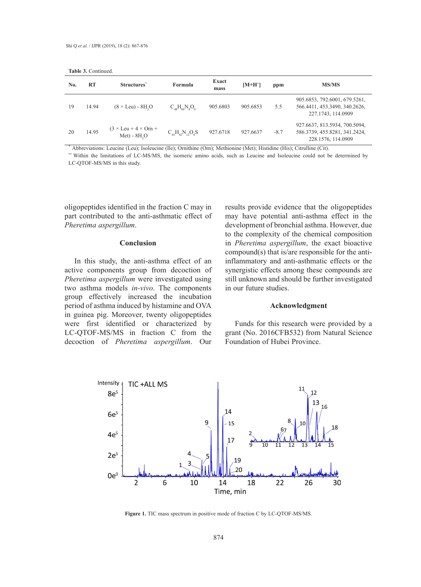| No. | RT    | Structures <sup>*</sup>                                         | <b>Formula</b>                                       | Exact<br>mass | $[M+H^+]$ | ppm    | <b>MS/MS</b>                                                                         |
|-----|-------|-----------------------------------------------------------------|------------------------------------------------------|---------------|-----------|--------|--------------------------------------------------------------------------------------|
| 19  | 14.94 | $(8 \times \text{Leu}) - 8\text{H}_2\text{O}$                   | $C_{\text{48}}H_{\text{88}}N_{\text{s}}O_{\text{s}}$ | 905.6803      | 905.6853  | 5.5    | 905.6853, 792.6001, 679.5261,<br>566.4411, 453.3490, 340.2626,<br>227.1743, 114.0909 |
| 20  | 14.95 | $(3 \times \text{Leu} + 4 \times \text{Orn} +$<br>$Met) - 8H2O$ | $C_{42}H_{82}N_{12}O_8S$                             | 927.6718      | 927.6637  | $-8.7$ | 927.6637, 813.5934, 700.5094,<br>586.3739, 455.8281, 341.2424,<br>228.1576, 114.0909 |

\* Abbreviations: Leucine (Leu); Isoleucine (Ile); Ornithine (Orn); Methionine (Met); Histidine (His); Citrulline (Cit).

\*\* Within the limitations of LC-MS/MS, the isomeric amino acids, such as Leucine and Isoleucine could not be determined by LC-QTOF-MS/MS in this study.

oligopeptides identified in the fraction C may in part contributed to the anti-asthmatic effect of *Pheretima aspergillum*.

#### **Conclusion**

In this study, the anti-asthma effect of an active components group from decoction of *Pheretima aspergillum* were investigated using two asthma models *in-vivo*. The components group effectively increased the incubation period of asthma induced by histamine and OVA in guinea pig. Moreover, twenty oligopeptides were first identified or characterized by LC-QTOF-MS/MS in fraction C from the decoction of *Pheretima aspergillum*. Our

results provide evidence that the oligopeptides may have potential anti-asthma effect in the development of bronchial asthma. However, due to the complexity of the chemical composition in *Pheretima aspergillum*, the exact bioactive compound(s) that is/are responsible for the antiinflammatory and anti-asthmatic effects or the synergistic effects among these compounds are still unknown and should be further investigated in our future studies.

## **Acknowledgment**

Funds for this research were provided by a grant (No. 2016CFB532) from Natural Science Foundation of Hubei Province.



**Figure 1**. TIC mass spectrum in positive mode of fraction C by LC-QTOF-MS/MS. **Figure 1.** TIC mass spectrum in positive mode of fraction C by LC-QTOF-MS/MS.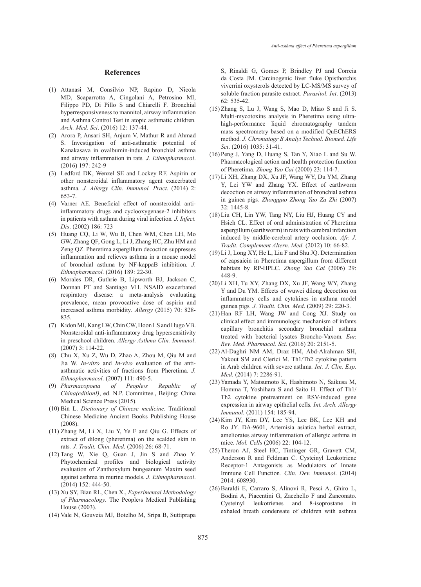#### **References**

- Attanasi M, Consilvio NP, Rapino D, Nicola (1) MD, Scaparrotta A, Cingolani A, Petrosino MI, Filippo PD, Di Pillo S and Chiarelli F. Bronchial hyperresponsiveness to mannitol, airway inflammation and Asthma Control Test in atopic asthmatic children*. Arch. Med. Sci*. (2016) 12: 137-44.
- Arora P, Ansari SH, Anjum V, Mathur R and Ahmad (2) S. Investigation of anti-asthmatic potential of Kanakasava in ovalbumin-induced bronchial asthma and airway inflammation in rats*. J. Ethnopharmacol*. (2016) 197: 242-9
- Ledford DK, Wenzel SE and Lockey RF. Aspirin or (3) other nonsteroidal inflammatory agent exacerbated asthma*. J. Allergy Clin. Immunol. Pract*. (2014) 2: 653-7.
- (4) Varner AE. Beneficial effect of nonsteroidal antiinflammatory drugs and cyclooxygenase-2 inhibitors in patients with asthma during viral infection*. J. Infect. Dis*. (2002) 186: 723
- (5) Huang CQ, Li W, Wu B, Chen WM, Chen LH, Mo GW, Zhang QF, Gong L, Li J, Zhang HC, Zhu HM and Zeng QZ. Pheretima aspergillum decoction suppresses inflammation and relieves asthma in a mouse model of bronchial asthma by NF-kappaB inhibition*. J. Ethnopharmacol*. (2016) 189: 22-30.
- (6) Morales DR, Guthrie B, Lipworth BJ, Jackson C, Donnan PT and Santiago VH. NSAID exacerbated respiratory disease: a meta-analysis evaluating prevalence, mean provocative dose of aspirin and increased asthma morbidity*. Allergy* (2015) 70: 828- 835.
- (7) Kidon MI, Kang LW, Chin CW, Hoon LS and Hugo VB. Nonsteroidal anti-inflammatory drug hypersensitivity in preschool children*. Allergy Asthma Clin. Immunol*. (2007) 3: 114-22.
- Chu X, Xu Z, Wu D, Zhao A, Zhou M, Qiu M and (8) Jia W. *In-vitro* and *In-vivo* evaluation of the antiasthmatic activities of fractions from Pheretima*. J. Ethnopharmacol*. (2007) 111: 490-5.
- *Pharmacopoeia of People›s Republic of China(editionI)*, ed. N.P. Committee., Beijing: China Medical Science Press (2015). (9) Pharmacopoeia
- (10) Bin L. *Dictionary of Chinese medicine*. Traditional Chinese Medicine Ancient Books Publishing House (2008).
- $(11)$  Zhang M, Li X, Liu Y, Ye F and Qiu G. Effects of extract of dilong (pheretima) on the scalded skin in rats*. J. Tradit. Chin. Med*. (2006) 26: 68-71.
- $(12)$  Tang W, Xie Q, Guan J, Jin S and Zhao Y. Phytochemical profiles and biological activity evaluation of Zanthoxylum bungeanum Maxim seed against asthma in murine models*. J. Ethnopharmacol*. (2014) 152: 444-50.
- (13) Xu SY, Bian RL, Chen X., *Experimental Methodology of Pharmacology*. The People›s Medical Publishing House (2003).
- (14) Vale N, Gouveia MJ, Botelho M, Sripa B, Suttiprapa

S, Rinaldi G, Gomes P, Brindley PJ and Correia da Costa JM. Carcinogenic liver fluke Opisthorchis viverrini oxysterols detected by LC-MS/MS survey of soluble fraction parasite extract*. Parasitol. Int*. (2013) 62: 535-42.

- (15) Zhang S, Lu J, Wang S, Mao D, Miao S and Ji S. Multi-mycotoxins analysis in Pheretima using ultrahigh-performance liquid chromatography tandem mass spectrometry based on a modified QuEChERS method*. J. Chromatogr B Analyt Technol. Biomed. Life Sci*. (2016) 1035: 31-41.
- $(16)$  Peng J, Yang D, Huang S, Tan Y, Xiao L and Su W. Pharmacological action and health protection function of Pheretima*. Zhong Yao Cai* (2000) 23: 114-7.
- Li XH, Zhang DX, Xu JF, Wang WY, Du YM, Zhang (17) Y, Lei YW and Zhang YX. Effect of earthworm decoction on airway inflammation of bronchial asthma in guinea pigs*. Zhongguo Zhong Yao Za Zhi* (2007) 32: 1445-8.
- (18) Liu CH, Lin YW, Tang NY, Liu HJ, Huang CY and Hsieh CL. Effect of oral administration of Pheretima aspergillum (earthworm) in rats with cerebral infarction induced by middle-cerebral artery occlusion*. Afr. J. Tradit. Complement Altern. Med*. (2012) 10: 66-82.
- (19) Li J, Long XY, He L, Liu F and Shu JQ. Determination of capsaicin in Pheretima aspergillum from different habitats by RP-HPLC*. Zhong Yao Cai* (2006) 29: 448-9.
- (20) Li XH, Tu XY, Zhang DX, Xu JF, Wang WY, Zhang Y and Du YM. Effects of wuwei dilong decoction on inflammatory cells and cytokines in asthma model guinea pigs*. J. Tradit. Chin. Med*. (2009) 29: 220-3.
- (21) Han RF LH, Wang JW and Cong XJ. Study on clinical effect and immunologic mechanism of infants capillary bronchitis secondary bronchial asthma treated with bacterial lysates Broncho-Vaxom*. Eur. Rev. Med. Pharmacol. Sci*. (2016) 20: 2151-5.
- (22) Al-Daghri NM AM, Draz HM, Abd-Alrahman SH, Yakout SM and Clerici M. Th1/Th2 cytokine pattern in Arab children with severe asthma*. Int. J. Clin. Exp. Med*. (2014) 7: 2286-91.
- (23) Yamada Y, Matsumoto K, Hashimoto N, Saikusa M, Homma T, Yoshihara S and Saito H. Effect of Th1/ Th2 cytokine pretreatment on RSV-induced gene expression in airway epithelial cells*. Int. Arch. Allergy Immunol*. (2011) 154: 185-94.
- (24) Kim JY, Kim DY, Lee YS, Lee BK, Lee KH and Ro JY. DA-9601, Artemisia asiatica herbal extract, ameliorates airway inflammation of allergic asthma in mice*. Mol. Cells* (2006) 22: 104-12.
- (25) Theron AJ, Steel HC, Tintinger GR, Gravett CM, Anderson R and Feldman C. Cysteinyl Leukotriene Receptor-1 Antagonists as Modulators of Innate Immune Cell Function*. Clin. Dev. Immunol*. (2014) 2014: 608930.
- (26) Baraldi E, Carraro S, Alinovi R, Pesci A, Ghiro L, Bodini A, Piacentini G, Zacchello F and Zanconato. Cysteinyl leukotrienes and 8-isoprostane in exhaled breath condensate of children with asthma